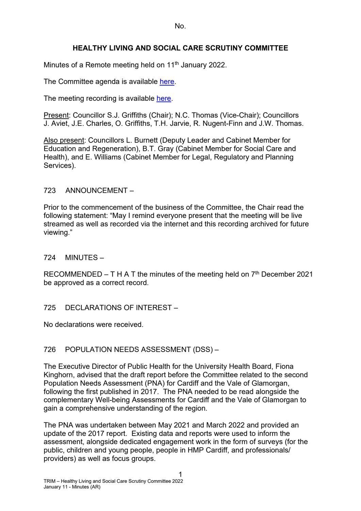No.

# **HEALTHY LIVING AND SOCIAL CARE SCRUTINY COMMITTEE**

Minutes of a Remote meeting held on 11<sup>th</sup> January 2022.

The Committee agenda is available [here.](https://www.valeofglamorgan.gov.uk/en/our_council/Council-Structure/minutes,_agendas_and_reports/agendas/Scrutiny-HLSC/2022/22-01-11.aspx)

The meeting recording is available [here.](https://www.youtube.com/watch?v=i3S9eBQfr-o&list=PLzt4i14pgqIEm1ttoE4sJV3ONGKrZxv4w&index=1&t=1928s)

Present: Councillor S.J. Griffiths (Chair); N.C. Thomas (Vice-Chair); Councillors J. Aviet, J.E. Charles, O. Griffiths, T.H. Jarvie, R. Nugent-Finn and J.W. Thomas.

Also present: Councillors L. Burnett (Deputy Leader and Cabinet Member for Education and Regeneration), B.T. Gray (Cabinet Member for Social Care and Health), and E. Williams (Cabinet Member for Legal, Regulatory and Planning Services).

### 723 ANNOUNCEMENT –

Prior to the commencement of the business of the Committee, the Chair read the following statement: "May I remind everyone present that the meeting will be live streamed as well as recorded via the internet and this recording archived for future viewing."

724 MINUTES –

RECOMMENDED – T H A T the minutes of the meeting held on  $7<sup>th</sup>$  December 2021 be approved as a correct record.

## 725 DECLARATIONS OF INTEREST –

No declarations were received.

## 726 POPULATION NEEDS ASSESSMENT (DSS) –

The Executive Director of Public Health for the University Health Board, Fiona Kinghorn, advised that the draft report before the Committee related to the second Population Needs Assessment (PNA) for Cardiff and the Vale of Glamorgan, following the first published in 2017. The PNA needed to be read alongside the complementary Well-being Assessments for Cardiff and the Vale of Glamorgan to gain a comprehensive understanding of the region.

The PNA was undertaken between May 2021 and March 2022 and provided an update of the 2017 report. Existing data and reports were used to inform the assessment, alongside dedicated engagement work in the form of surveys (for the public, children and young people, people in HMP Cardiff, and professionals/ providers) as well as focus groups.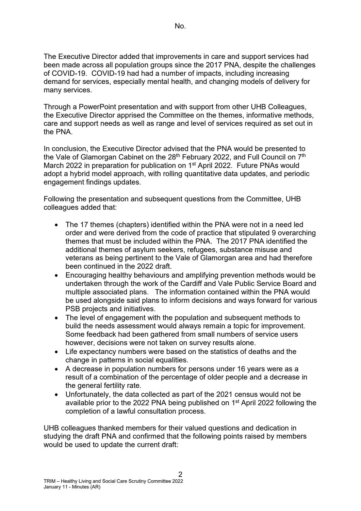The Executive Director added that improvements in care and support services had been made across all population groups since the 2017 PNA, despite the challenges of COVID-19. COVID-19 had had a number of impacts, including increasing demand for services, especially mental health, and changing models of delivery for many services.

Through a PowerPoint presentation and with support from other UHB Colleagues, the Executive Director apprised the Committee on the themes, informative methods, care and support needs as well as range and level of services required as set out in the PNA.

In conclusion, the Executive Director advised that the PNA would be presented to the Vale of Glamorgan Cabinet on the  $28<sup>th</sup>$  February 2022, and Full Council on  $7<sup>th</sup>$ March 2022 in preparation for publication on 1<sup>st</sup> April 2022. Future PNAs would adopt a hybrid model approach, with rolling quantitative data updates, and periodic engagement findings updates.

Following the presentation and subsequent questions from the Committee, UHB colleagues added that:

- The 17 themes (chapters) identified within the PNA were not in a need led order and were derived from the code of practice that stipulated 9 overarching themes that must be included within the PNA. The 2017 PNA identified the additional themes of asylum seekers, refugees, substance misuse and veterans as being pertinent to the Vale of Glamorgan area and had therefore been continued in the 2022 draft.
- Encouraging healthy behaviours and amplifying prevention methods would be undertaken through the work of the Cardiff and Vale Public Service Board and multiple associated plans. The information contained within the PNA would be used alongside said plans to inform decisions and ways forward for various PSB projects and initiatives.
- The level of engagement with the population and subsequent methods to build the needs assessment would always remain a topic for improvement. Some feedback had been gathered from small numbers of service users however, decisions were not taken on survey results alone.
- Life expectancy numbers were based on the statistics of deaths and the change in patterns in social equalities.
- A decrease in population numbers for persons under 16 years were as a result of a combination of the percentage of older people and a decrease in the general fertility rate.
- Unfortunately, the data collected as part of the 2021 census would not be available prior to the 2022 PNA being published on 1st April 2022 following the completion of a lawful consultation process.

UHB colleagues thanked members for their valued questions and dedication in studying the draft PNA and confirmed that the following points raised by members would be used to update the current draft: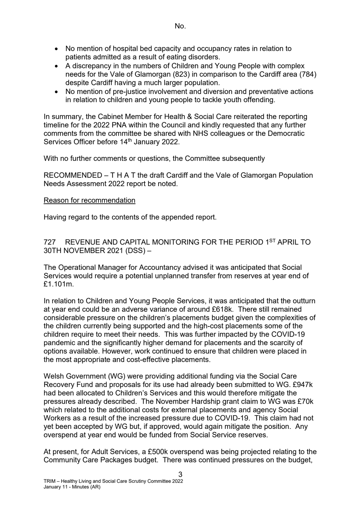- No mention of hospital bed capacity and occupancy rates in relation to patients admitted as a result of eating disorders.
- A discrepancy in the numbers of Children and Young People with complex needs for the Vale of Glamorgan (823) in comparison to the Cardiff area (784) despite Cardiff having a much larger population.
- No mention of pre-justice involvement and diversion and preventative actions in relation to children and young people to tackle youth offending.

In summary, the Cabinet Member for Health & Social Care reiterated the reporting timeline for the 2022 PNA within the Council and kindly requested that any further comments from the committee be shared with NHS colleagues or the Democratic Services Officer before 14<sup>th</sup> January 2022.

With no further comments or questions, the Committee subsequently

RECOMMENDED – T H A T the draft Cardiff and the Vale of Glamorgan Population Needs Assessment 2022 report be noted.

### Reason for recommendation

Having regard to the contents of the appended report.

727 REVENUE AND CAPITAL MONITORING FOR THE PERIOD 1ST APRIL TO 30TH NOVEMBER 2021 (DSS) –

The Operational Manager for Accountancy advised it was anticipated that Social Services would require a potential unplanned transfer from reserves at year end of £1.101m.

In relation to Children and Young People Services, it was anticipated that the outturn at year end could be an adverse variance of around £618k. There still remained considerable pressure on the children's placements budget given the complexities of the children currently being supported and the high-cost placements some of the children require to meet their needs. This was further impacted by the COVID-19 pandemic and the significantly higher demand for placements and the scarcity of options available. However, work continued to ensure that children were placed in the most appropriate and cost-effective placements.

Welsh Government (WG) were providing additional funding via the Social Care Recovery Fund and proposals for its use had already been submitted to WG. £947k had been allocated to Children's Services and this would therefore mitigate the pressures already described. The November Hardship grant claim to WG was £70k which related to the additional costs for external placements and agency Social Workers as a result of the increased pressure due to COVID-19. This claim had not yet been accepted by WG but, if approved, would again mitigate the position. Any overspend at year end would be funded from Social Service reserves.

At present, for Adult Services, a £500k overspend was being projected relating to the Community Care Packages budget. There was continued pressures on the budget,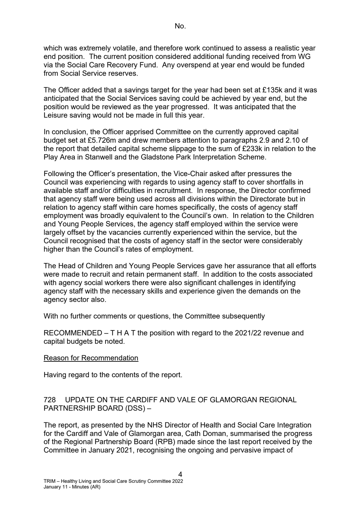which was extremely volatile, and therefore work continued to assess a realistic year end position. The current position considered additional funding received from WG via the Social Care Recovery Fund. Any overspend at year end would be funded from Social Service reserves.

The Officer added that a savings target for the year had been set at £135k and it was anticipated that the Social Services saving could be achieved by year end, but the position would be reviewed as the year progressed. It was anticipated that the Leisure saving would not be made in full this year.

In conclusion, the Officer apprised Committee on the currently approved capital budget set at £5.726m and drew members attention to paragraphs 2.9 and 2.10 of the report that detailed capital scheme slippage to the sum of £233k in relation to the Play Area in Stanwell and the Gladstone Park Interpretation Scheme.

Following the Officer's presentation, the Vice-Chair asked after pressures the Council was experiencing with regards to using agency staff to cover shortfalls in available staff and/or difficulties in recruitment. In response, the Director confirmed that agency staff were being used across all divisions within the Directorate but in relation to agency staff within care homes specifically, the costs of agency staff employment was broadly equivalent to the Council's own. In relation to the Children and Young People Services, the agency staff employed within the service were largely offset by the vacancies currently experienced within the service, but the Council recognised that the costs of agency staff in the sector were considerably higher than the Council's rates of employment.

The Head of Children and Young People Services gave her assurance that all efforts were made to recruit and retain permanent staff. In addition to the costs associated with agency social workers there were also significant challenges in identifying agency staff with the necessary skills and experience given the demands on the agency sector also.

With no further comments or questions, the Committee subsequently

RECOMMENDED – T H A T the position with regard to the 2021/22 revenue and capital budgets be noted.

#### Reason for Recommendation

Having regard to the contents of the report.

## 728 UPDATE ON THE CARDIFF AND VALE OF GLAMORGAN REGIONAL PARTNERSHIP BOARD (DSS) –

The report, as presented by the NHS Director of Health and Social Care Integration for the Cardiff and Vale of Glamorgan area, Cath Doman, summarised the progress of the Regional Partnership Board (RPB) made since the last report received by the Committee in January 2021, recognising the ongoing and pervasive impact of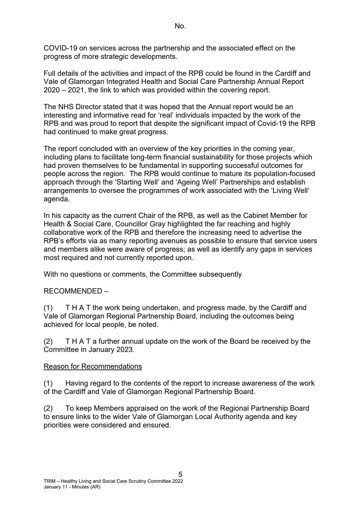COVID-19 on services across the partnership and the associated effect on the progress of more strategic developments.

Full details of the activities and impact of the RPB could be found in the Cardiff and Vale of Glamorgan Integrated Health and Social Care Partnership Annual Report 2020 – 2021, the link to which was provided within the covering report.

The NHS Director stated that it was hoped that the Annual report would be an interesting and informative read for 'real' individuals impacted by the work of the RPB and was proud to report that despite the significant impact of Covid-19 the RPB had continued to make great progress.

The report concluded with an overview of the key priorities in the coming year, including plans to facilitate long-term financial sustainability for those projects which had proven themselves to be fundamental in supporting successful outcomes for people across the region. The RPB would continue to mature its population-focused approach through the 'Starting Well' and 'Ageing Well' Partnerships and establish arrangements to oversee the programmes of work associated with the 'Living Well' agenda.

In his capacity as the current Chair of the RPB, as well as the Cabinet Member for Health & Social Care, Councillor Gray highlighted the far reaching and highly collaborative work of the RPB and therefore the increasing need to advertise the RPB's efforts via as many reporting avenues as possible to ensure that service users and members alike were aware of progress; as well as identify any gaps in services most required and not currently reported upon.

With no questions or comments, the Committee subsequently

## RECOMMENDED –

(1) T H A T the work being undertaken, and progress made, by the Cardiff and Vale of Glamorgan Regional Partnership Board, including the outcomes being achieved for local people, be noted.

(2) T H A T a further annual update on the work of the Board be received by the Committee in January 2023.

### Reason for Recommendations

(1) Having regard to the contents of the report to increase awareness of the work of the Cardiff and Vale of Glamorgan Regional Partnership Board.

(2) To keep Members appraised on the work of the Regional Partnership Board to ensure links to the wider Vale of Glamorgan Local Authority agenda and key priorities were considered and ensured.